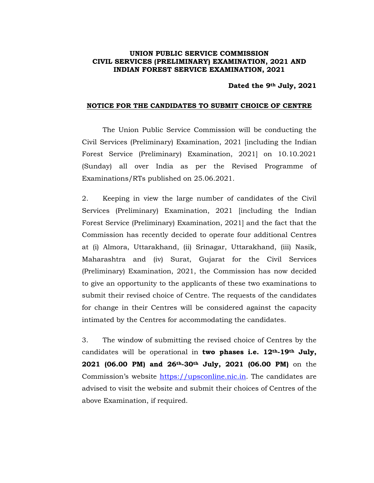## **UNION PUBLIC SERVICE COMMISSION CIVIL SERVICES (PRELIMINARY) EXAMINATION, 2021 AND INDIAN FOREST SERVICE EXAMINATION, 2021**

## **Dated the 9th July, 2021**

## **NOTICE FOR THE CANDIDATES TO SUBMIT CHOICE OF CENTRE**

The Union Public Service Commission will be conducting the Civil Services (Preliminary) Examination, 2021 [including the Indian Forest Service (Preliminary) Examination, 2021] on 10.10.2021 (Sunday) all over India as per the Revised Programme of Examinations/RTs published on 25.06.2021.

2. Keeping in view the large number of candidates of the Civil Services (Preliminary) Examination, 2021 [including the Indian Forest Service (Preliminary) Examination, 2021] and the fact that the Commission has recently decided to operate four additional Centres at (i) Almora, Uttarakhand, (ii) Srinagar, Uttarakhand, (iii) Nasik, Maharashtra and (iv) Surat, Gujarat for the Civil Services (Preliminary) Examination, 2021, the Commission has now decided to give an opportunity to the applicants of these two examinations to submit their revised choice of Centre. The requests of the candidates for change in their Centres will be considered against the capacity intimated by the Centres for accommodating the candidates.

3. The window of submitting the revised choice of Centres by the candidates will be operational in **two phases i.e. 12th-19th July, 2021 (06.00 PM) and 26th-30th July, 2021 (06.00 PM)** on the Commission's website https://upsconline.nic.in. The candidates are advised to visit the website and submit their choices of Centres of the above Examination, if required.